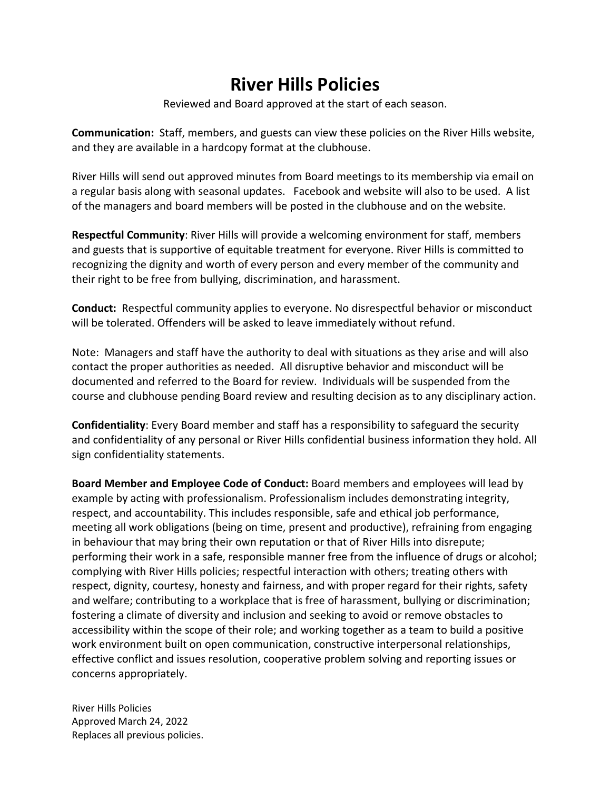# **River Hills Policies**

Reviewed and Board approved at the start of each season.

**Communication:** Staff, members, and guests can view these policies on the River Hills website, and they are available in a hardcopy format at the clubhouse.

River Hills will send out approved minutes from Board meetings to its membership via email on a regular basis along with seasonal updates. Facebook and website will also to be used. A list of the managers and board members will be posted in the clubhouse and on the website.

**Respectful Community**: River Hills will provide a welcoming environment for staff, members and guests that is supportive of equitable treatment for everyone. River Hills is committed to recognizing the dignity and worth of every person and every member of the community and their right to be free from bullying, discrimination, and harassment.

**Conduct:** Respectful community applies to everyone. No disrespectful behavior or misconduct will be tolerated. Offenders will be asked to leave immediately without refund.

Note: Managers and staff have the authority to deal with situations as they arise and will also contact the proper authorities as needed. All disruptive behavior and misconduct will be documented and referred to the Board for review. Individuals will be suspended from the course and clubhouse pending Board review and resulting decision as to any disciplinary action.

**Confidentiality**: Every Board member and staff has a responsibility to safeguard the security and confidentiality of any personal or River Hills confidential business information they hold. All sign confidentiality statements.

**Board Member and Employee Code of Conduct:** Board members and employees will lead by example by acting with professionalism. Professionalism includes demonstrating integrity, respect, and accountability. This includes responsible, safe and ethical job performance, meeting all work obligations (being on time, present and productive), refraining from engaging in behaviour that may bring their own reputation or that of River Hills into disrepute; performing their work in a safe, responsible manner free from the influence of drugs or alcohol; complying with River Hills policies; respectful interaction with others; treating others with respect, dignity, courtesy, honesty and fairness, and with proper regard for their rights, safety and welfare; contributing to a workplace that is free of harassment, bullying or discrimination; fostering a climate of diversity and inclusion and seeking to avoid or remove obstacles to accessibility within the scope of their role; and working together as a team to build a positive work environment built on open communication, constructive interpersonal relationships, effective conflict and issues resolution, cooperative problem solving and reporting issues or concerns appropriately.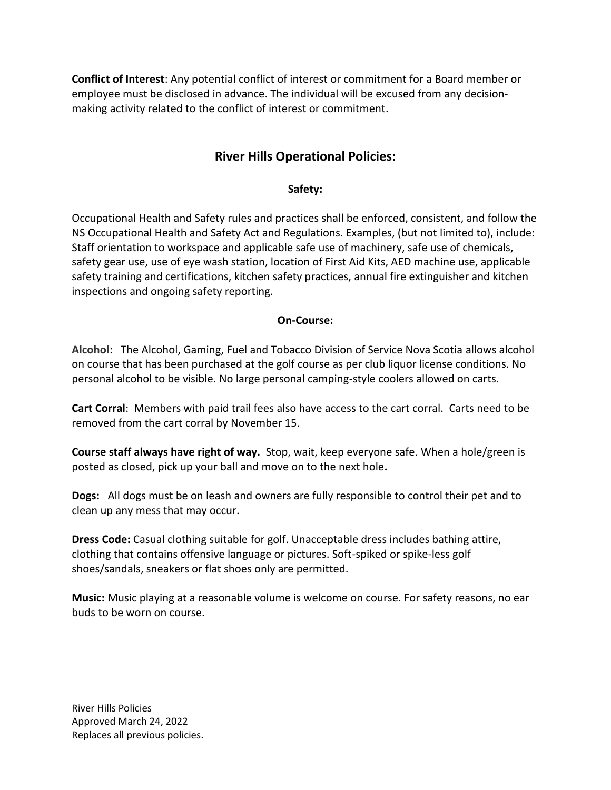**Conflict of Interest**: Any potential conflict of interest or commitment for a Board member or employee must be disclosed in advance. The individual will be excused from any decisionmaking activity related to the conflict of interest or commitment.

# **River Hills Operational Policies:**

## **Safety:**

Occupational Health and Safety rules and practices shall be enforced, consistent, and follow the NS Occupational Health and Safety Act and Regulations. Examples, (but not limited to), include: Staff orientation to workspace and applicable safe use of machinery, safe use of chemicals, safety gear use, use of eye wash station, location of First Aid Kits, AED machine use, applicable safety training and certifications, kitchen safety practices, annual fire extinguisher and kitchen inspections and ongoing safety reporting.

## **On-Course:**

**Alcohol**: The Alcohol, Gaming, Fuel and Tobacco Division of Service Nova Scotia allows alcohol on course that has been purchased at the golf course as per club liquor license conditions. No personal alcohol to be visible. No large personal camping-style coolers allowed on carts.

**Cart Corral**: Members with paid trail fees also have access to the cart corral. Carts need to be removed from the cart corral by November 15.

**Course staff always have right of way.** Stop, wait, keep everyone safe. When a hole/green is posted as closed, pick up your ball and move on to the next hole**.**

**Dogs:** All dogs must be on leash and owners are fully responsible to control their pet and to clean up any mess that may occur.

**Dress Code:** Casual clothing suitable for golf. Unacceptable dress includes bathing attire, clothing that contains offensive language or pictures. Soft-spiked or spike-less golf shoes/sandals, sneakers or flat shoes only are permitted.

**Music:** Music playing at a reasonable volume is welcome on course. For safety reasons, no ear buds to be worn on course.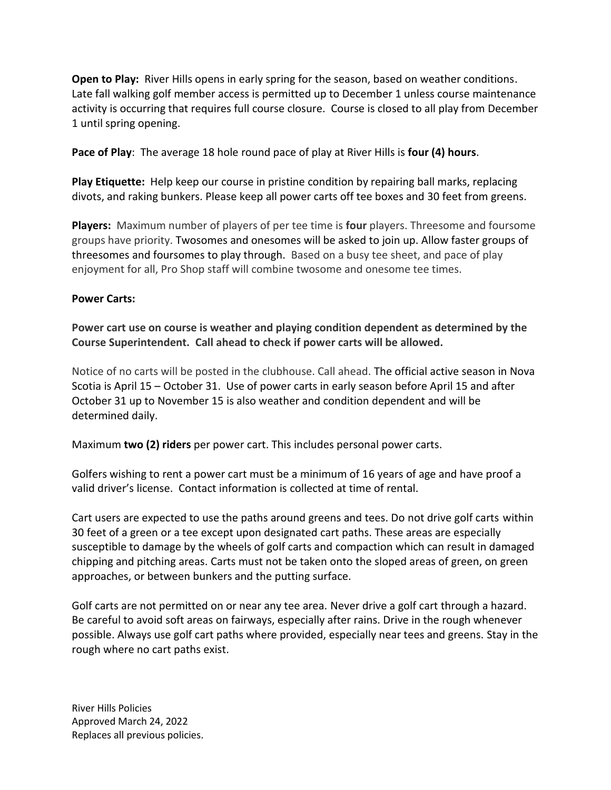**Open to Play:** River Hills opens in early spring for the season, based on weather conditions. Late fall walking golf member access is permitted up to December 1 unless course maintenance activity is occurring that requires full course closure. Course is closed to all play from December 1 until spring opening.

**Pace of Play**: The average 18 hole round pace of play at River Hills is **four (4) hours**.

**Play Etiquette:** Help keep our course in pristine condition by repairing ball marks, replacing divots, and raking bunkers. Please keep all power carts off tee boxes and 30 feet from greens.

**Players:** Maximum number of players of per tee time is **four** players. Threesome and foursome groups have priority. Twosomes and onesomes will be asked to join up. Allow faster groups of threesomes and foursomes to play through. Based on a busy tee sheet, and pace of play enjoyment for all, Pro Shop staff will combine twosome and onesome tee times.

#### **Power Carts:**

**Power cart use on course is weather and playing condition dependent as determined by the Course Superintendent. Call ahead to check if power carts will be allowed.**

Notice of no carts will be posted in the clubhouse. Call ahead. The official active season in Nova Scotia is April 15 – October 31. Use of power carts in early season before April 15 and after October 31 up to November 15 is also weather and condition dependent and will be determined daily.

Maximum **two (2) riders** per power cart. This includes personal power carts.

Golfers wishing to rent a power cart must be a minimum of 16 years of age and have proof a valid driver's license. Contact information is collected at time of rental.

Cart users are expected to use the paths around greens and tees. Do not drive golf carts within 30 feet of a green or a tee except upon designated cart paths. These areas are especially susceptible to damage by the wheels of golf carts and compaction which can result in damaged chipping and pitching areas. Carts must not be taken onto the sloped areas of green, on green approaches, or between bunkers and the putting surface.

Golf carts are not permitted on or near any tee area. Never drive a golf cart through a hazard. Be careful to avoid soft areas on fairways, especially after rains. Drive in the rough whenever possible. Always use golf cart paths where provided, especially near tees and greens. Stay in the rough where no cart paths exist.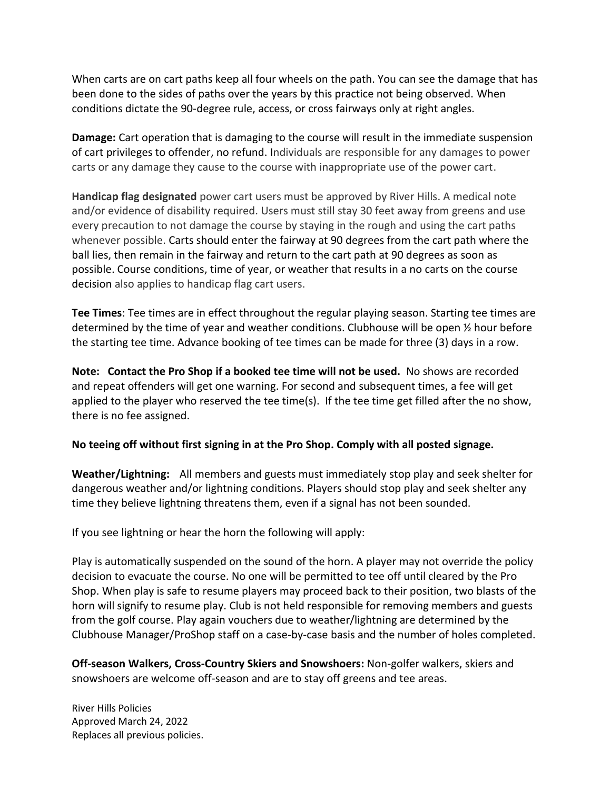When carts are on cart paths keep all four wheels on the path. You can see the damage that has been done to the sides of paths over the years by this practice not being observed. When conditions dictate the 90-degree rule, access, or cross fairways only at right angles.

**Damage:** Cart operation that is damaging to the course will result in the immediate suspension of cart privileges to offender, no refund. Individuals are responsible for any damages to power carts or any damage they cause to the course with inappropriate use of the power cart.

**Handicap flag designated** power cart users must be approved by River Hills. A medical note and/or evidence of disability required. Users must still stay 30 feet away from greens and use every precaution to not damage the course by staying in the rough and using the cart paths whenever possible. Carts should enter the fairway at 90 degrees from the cart path where the ball lies, then remain in the fairway and return to the cart path at 90 degrees as soon as possible. Course conditions, time of year, or weather that results in a no carts on the course decision also applies to handicap flag cart users.

**Tee Times**: Tee times are in effect throughout the regular playing season. Starting tee times are determined by the time of year and weather conditions. Clubhouse will be open ½ hour before the starting tee time. Advance booking of tee times can be made for three (3) days in a row.

**Note: Contact the Pro Shop if a booked tee time will not be used.** No shows are recorded and repeat offenders will get one warning. For second and subsequent times, a fee will get applied to the player who reserved the tee time(s). If the tee time get filled after the no show, there is no fee assigned.

#### **No teeing off without first signing in at the Pro Shop. Comply with all posted signage.**

**Weather/Lightning:** All members and guests must immediately stop play and seek shelter for dangerous weather and/or lightning conditions. Players should stop play and seek shelter any time they believe lightning threatens them, even if a signal has not been sounded.

If you see lightning or hear the horn the following will apply:

Play is automatically suspended on the sound of the horn. A player may not override the policy decision to evacuate the course. No one will be permitted to tee off until cleared by the Pro Shop. When play is safe to resume players may proceed back to their position, two blasts of the horn will signify to resume play. Club is not held responsible for removing members and guests from the golf course. Play again vouchers due to weather/lightning are determined by the Clubhouse Manager/ProShop staff on a case-by-case basis and the number of holes completed.

**Off-season Walkers, Cross-Country Skiers and Snowshoers:** Non-golfer walkers, skiers and snowshoers are welcome off-season and are to stay off greens and tee areas.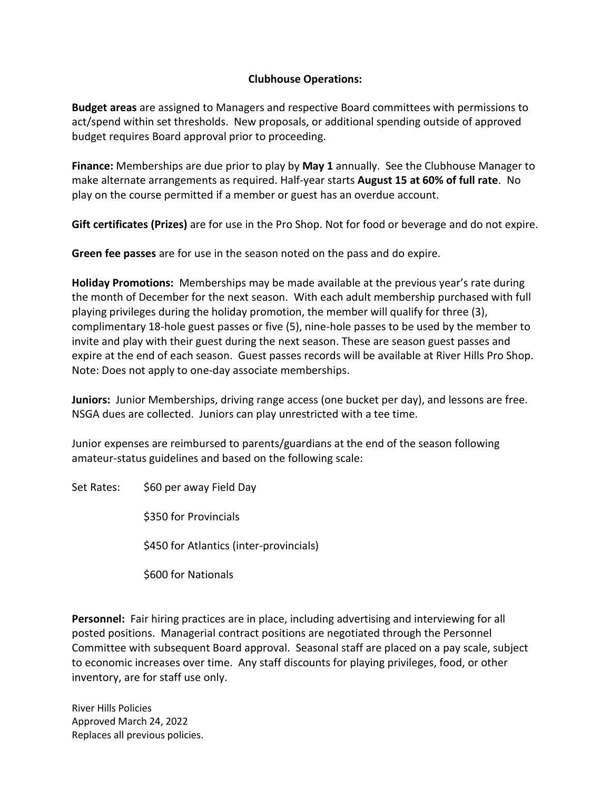## **Clubhouse Operations:**

**Budget areas** are assigned to Managers and respective Board committees with permissions to act/spend within set thresholds. New proposals, or additional spending outside of approved budget requires Board approval prior to proceeding.

**Finance:** Memberships are due prior to play by **May 1** annually. See the Clubhouse Manager to make alternate arrangements as required. Half-year starts **August 15 at 60% of full rate**. No play on the course permitted if a member or guest has an overdue account.

**Gift certificates (Prizes)** are for use in the Pro Shop. Not for food or beverage and do not expire.

**Green fee passes** are for use in the season noted on the pass and do expire.

**Holiday Promotions:** Memberships may be made available at the previous year's rate during the month of December for the next season. With each adult membership purchased with full playing privileges during the holiday promotion, the member will qualify for three (3), complimentary 18-hole guest passes or five (5), nine-hole passes to be used by the member to invite and play with their guest during the next season. These are season guest passes and expire at the end of each season. Guest passes records will be available at River Hills Pro Shop. Note: Does not apply to one-day associate memberships.

**Juniors:** Junior Memberships, driving range access (one bucket per day), and lessons are free. NSGA dues are collected. Juniors can play unrestricted with a tee time.

Junior expenses are reimbursed to parents/guardians at the end of the season following amateur-status guidelines and based on the following scale:

Set Rates: \$60 per away Field Day

\$350 for Provincials

\$450 for Atlantics (inter-provincials)

\$600 for Nationals

**Personnel:** Fair hiring practices are in place, including advertising and interviewing for all posted positions. Managerial contract positions are negotiated through the Personnel Committee with subsequent Board approval. Seasonal staff are placed on a pay scale, subject to economic increases over time. Any staff discounts for playing privileges, food, or other inventory, are for staff use only.